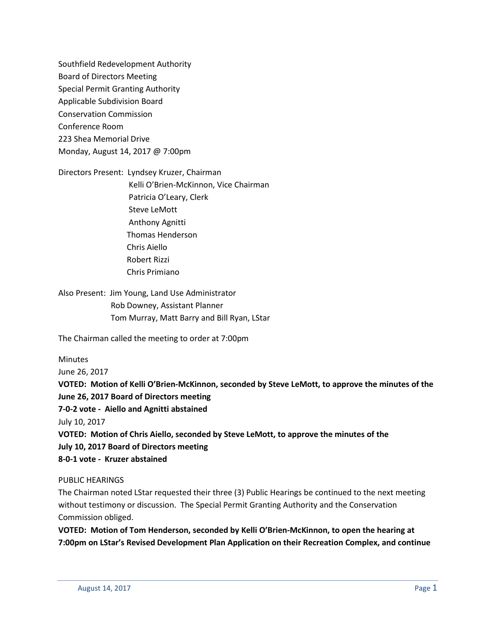Southfield Redevelopment Authority Board of Directors Meeting Special Permit Granting Authority Applicable Subdivision Board Conservation Commission Conference Room 223 Shea Memorial Drive Monday, August 14, 2017 @ 7:00pm

Directors Present: Lyndsey Kruzer, Chairman Kelli O'Brien-McKinnon, Vice Chairman Patricia O'Leary, Clerk Steve LeMott Anthony Agnitti Thomas Henderson Chris Aiello Robert Rizzi Chris Primiano

Also Present: Jim Young, Land Use Administrator Rob Downey, Assistant Planner Tom Murray, Matt Barry and Bill Ryan, LStar

The Chairman called the meeting to order at 7:00pm

Minutes

June 26, 2017

**VOTED: Motion of Kelli O'Brien-McKinnon, seconded by Steve LeMott, to approve the minutes of the June 26, 2017 Board of Directors meeting**

**7-0-2 vote - Aiello and Agnitti abstained**

July 10, 2017

**VOTED: Motion of Chris Aiello, seconded by Steve LeMott, to approve the minutes of the July 10, 2017 Board of Directors meeting**

**8-0-1 vote - Kruzer abstained**

PUBLIC HEARINGS

The Chairman noted LStar requested their three (3) Public Hearings be continued to the next meeting without testimony or discussion. The Special Permit Granting Authority and the Conservation Commission obliged.

**VOTED: Motion of Tom Henderson, seconded by Kelli O'Brien-McKinnon, to open the hearing at 7:00pm on LStar's Revised Development Plan Application on their Recreation Complex, and continue**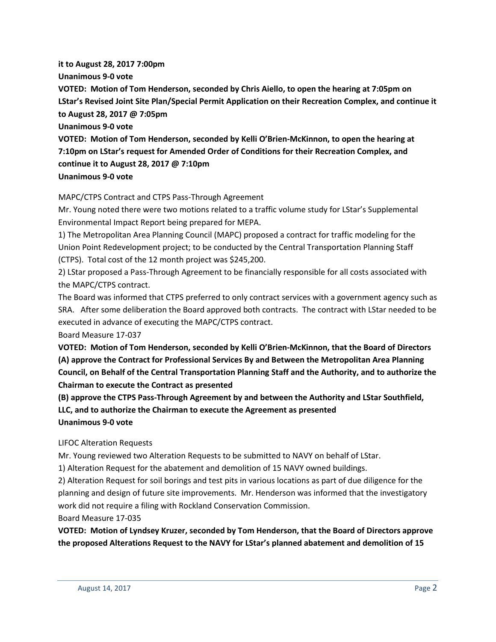**it to August 28, 2017 7:00pm Unanimous 9-0 vote VOTED: Motion of Tom Henderson, seconded by Chris Aiello, to open the hearing at 7:05pm on LStar's Revised Joint Site Plan/Special Permit Application on their Recreation Complex, and continue it to August 28, 2017 @ 7:05pm Unanimous 9-0 vote VOTED: Motion of Tom Henderson, seconded by Kelli O'Brien-McKinnon, to open the hearing at 7:10pm on LStar's request for Amended Order of Conditions for their Recreation Complex, and continue it to August 28, 2017 @ 7:10pm Unanimous 9-0 vote**

# MAPC/CTPS Contract and CTPS Pass-Through Agreement

Mr. Young noted there were two motions related to a traffic volume study for LStar's Supplemental Environmental Impact Report being prepared for MEPA.

1) The Metropolitan Area Planning Council (MAPC) proposed a contract for traffic modeling for the Union Point Redevelopment project; to be conducted by the Central Transportation Planning Staff (CTPS). Total cost of the 12 month project was \$245,200.

2) LStar proposed a Pass-Through Agreement to be financially responsible for all costs associated with the MAPC/CTPS contract.

The Board was informed that CTPS preferred to only contract services with a government agency such as SRA. After some deliberation the Board approved both contracts. The contract with LStar needed to be executed in advance of executing the MAPC/CTPS contract.

Board Measure 17-037

**VOTED: Motion of Tom Henderson, seconded by Kelli O'Brien-McKinnon, that the Board of Directors (A) approve the Contract for Professional Services By and Between the Metropolitan Area Planning Council, on Behalf of the Central Transportation Planning Staff and the Authority, and to authorize the Chairman to execute the Contract as presented**

**(B) approve the CTPS Pass-Through Agreement by and between the Authority and LStar Southfield,** 

**LLC, and to authorize the Chairman to execute the Agreement as presented**

**Unanimous 9-0 vote**

LIFOC Alteration Requests

Mr. Young reviewed two Alteration Requests to be submitted to NAVY on behalf of LStar.

1) Alteration Request for the abatement and demolition of 15 NAVY owned buildings.

2) Alteration Request for soil borings and test pits in various locations as part of due diligence for the planning and design of future site improvements. Mr. Henderson was informed that the investigatory work did not require a filing with Rockland Conservation Commission.

Board Measure 17-035

**VOTED: Motion of Lyndsey Kruzer, seconded by Tom Henderson, that the Board of Directors approve the proposed Alterations Request to the NAVY for LStar's planned abatement and demolition of 15**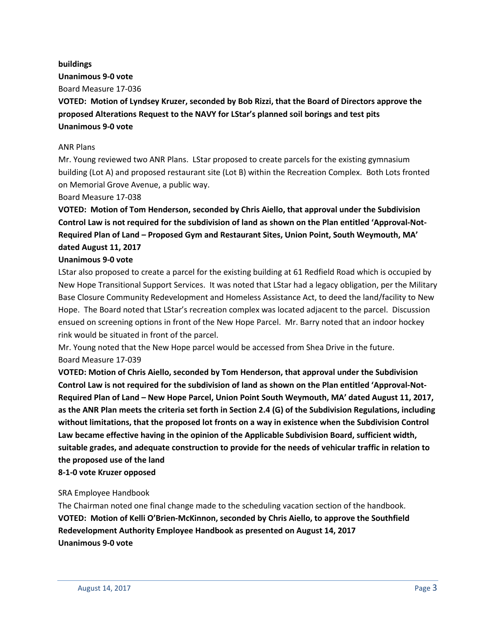#### **buildings**

**Unanimous 9-0 vote**

Board Measure 17-036

**VOTED: Motion of Lyndsey Kruzer, seconded by Bob Rizzi, that the Board of Directors approve the proposed Alterations Request to the NAVY for LStar's planned soil borings and test pits Unanimous 9-0 vote**

## ANR Plans

Mr. Young reviewed two ANR Plans. LStar proposed to create parcels for the existing gymnasium building (Lot A) and proposed restaurant site (Lot B) within the Recreation Complex. Both Lots fronted on Memorial Grove Avenue, a public way.

Board Measure 17-038

**VOTED: Motion of Tom Henderson, seconded by Chris Aiello, that approval under the Subdivision Control Law is not required for the subdivision of land as shown on the Plan entitled 'Approval-Not-Required Plan of Land – Proposed Gym and Restaurant Sites, Union Point, South Weymouth, MA' dated August 11, 2017**

### **Unanimous 9-0 vote**

LStar also proposed to create a parcel for the existing building at 61 Redfield Road which is occupied by New Hope Transitional Support Services. It was noted that LStar had a legacy obligation, per the Military Base Closure Community Redevelopment and Homeless Assistance Act, to deed the land/facility to New Hope. The Board noted that LStar's recreation complex was located adjacent to the parcel. Discussion ensued on screening options in front of the New Hope Parcel. Mr. Barry noted that an indoor hockey rink would be situated in front of the parcel.

Mr. Young noted that the New Hope parcel would be accessed from Shea Drive in the future. Board Measure 17-039

**VOTED: Motion of Chris Aiello, seconded by Tom Henderson, that approval under the Subdivision Control Law is not required for the subdivision of land as shown on the Plan entitled 'Approval-Not-Required Plan of Land – New Hope Parcel, Union Point South Weymouth, MA' dated August 11, 2017, as the ANR Plan meets the criteria set forth in Section 2.4 (G) of the Subdivision Regulations, including without limitations, that the proposed lot fronts on a way in existence when the Subdivision Control Law became effective having in the opinion of the Applicable Subdivision Board, sufficient width, suitable grades, and adequate construction to provide for the needs of vehicular traffic in relation to the proposed use of the land**

### **8-1-0 vote Kruzer opposed**

### SRA Employee Handbook

The Chairman noted one final change made to the scheduling vacation section of the handbook. **VOTED: Motion of Kelli O'Brien-McKinnon, seconded by Chris Aiello, to approve the Southfield Redevelopment Authority Employee Handbook as presented on August 14, 2017 Unanimous 9-0 vote**